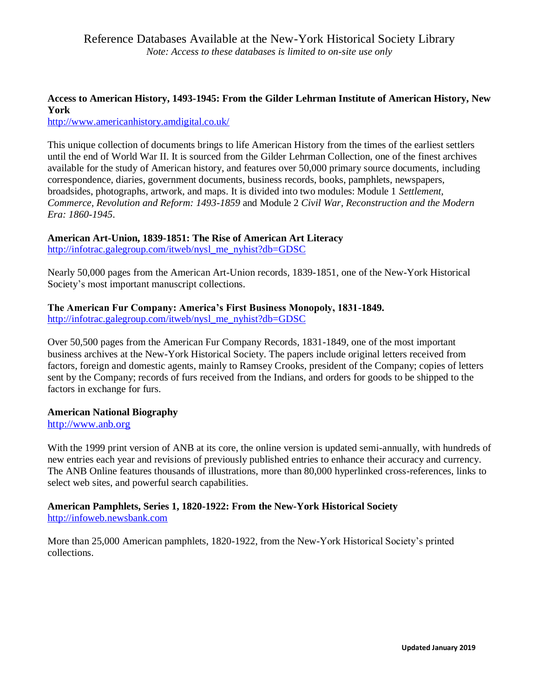## **Access to American History, 1493-1945: From the Gilder Lehrman Institute of American History, New York**

<http://www.americanhistory.amdigital.co.uk/>

This unique collection of documents brings to life American History from the times of the earliest settlers until the end of World War II. It is sourced from the Gilder Lehrman Collection, one of the finest archives available for the study of American history, and features over 50,000 primary source documents, including correspondence, diaries, government documents, business records, books, pamphlets, newspapers, broadsides, photographs, artwork, and maps. It is divided into two modules: Module 1 *Settlement, Commerce, Revolution and Reform: 1493-1859* and Module 2 *Civil War, Reconstruction and the Modern Era: 1860-1945*.

## **American Art-Union, 1839-1851: The Rise of American Art Literacy**

[http://infotrac.galegroup.com/itweb/nysl\\_me\\_nyhist?db=GDSC](http://infotrac.galegroup.com/itweb/nysl_me_nyhist?db=GDSC)

Nearly 50,000 pages from the American Art-Union records, 1839-1851, one of the New-York Historical Society's most important manuscript collections.

#### **The American Fur Company: America's First Business Monopoly, 1831-1849.**

[http://infotrac.galegroup.com/itweb/nysl\\_me\\_nyhist?db=GDSC](http://infotrac.galegroup.com/itweb/nysl_me_nyhist?db=GDSC)

Over 50,500 pages from the American Fur Company Records, 1831-1849, one of the most important business archives at the New-York Historical Society. The papers include original letters received from factors, foreign and domestic agents, mainly to Ramsey Crooks, president of the Company; copies of letters sent by the Company; records of furs received from the Indians, and orders for goods to be shipped to the factors in exchange for furs.

## **American National Biography**

[http://www.anb.org](http://www.anb.org/)

With the 1999 print version of ANB at its core, the online version is updated semi-annually, with hundreds of new entries each year and revisions of previously published entries to enhance their accuracy and currency. The ANB Online features thousands of illustrations, more than 80,000 hyperlinked cross-references, links to select web sites, and powerful search capabilities.

#### **American Pamphlets, Series 1, 1820-1922: From the New-York Historical Society** [http://infoweb.newsbank.com](http://infoweb.newsbank.com/)

More than 25,000 American pamphlets, 1820-1922, from the New-York Historical Society's printed collections.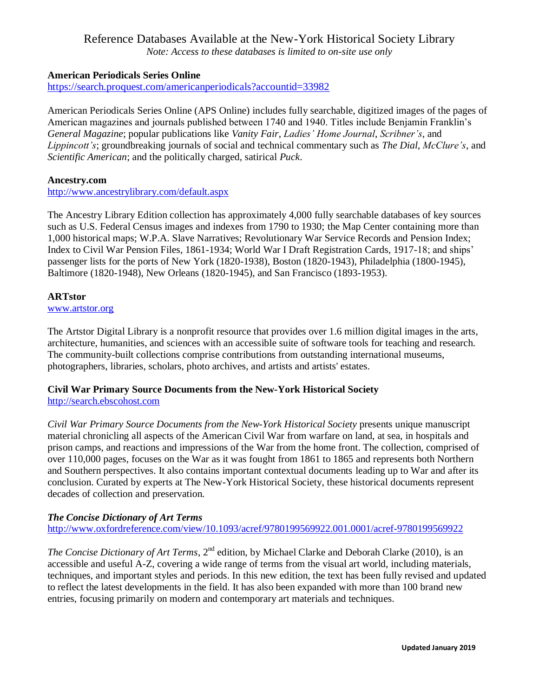## Reference Databases Available at the New-York Historical Society Library

*Note: Access to these databases is limited to on-site use only* 

## **American Periodicals Series Online**

<https://search.proquest.com/americanperiodicals?accountid=33982>

American Periodicals Series Online (APS Online) includes fully searchable, digitized images of the pages of American magazines and journals published between 1740 and 1940. Titles include Benjamin Franklin's *General Magazine*; popular publications like *Vanity Fair*, *Ladies' Home Journal*, *Scribner's*, and *Lippincott's*; groundbreaking journals of social and technical commentary such as *The Dial*, *McClure's*, and *Scientific American*; and the politically charged, satirical *Puck*.

#### **Ancestry.com**

<http://www.ancestrylibrary.com/default.aspx>

The Ancestry Library Edition collection has approximately 4,000 fully searchable databases of key sources such as U.S. Federal Census images and indexes from 1790 to 1930; the Map Center containing more than 1,000 historical maps; W.P.A. Slave Narratives; Revolutionary War Service Records and Pension Index; Index to Civil War Pension Files, 1861-1934; World War I Draft Registration Cards, 1917-18; and ships' passenger lists for the ports of New York (1820-1938), Boston (1820-1943), Philadelphia (1800-1945), Baltimore (1820-1948), New Orleans (1820-1945), and San Francisco (1893-1953).

#### **ARTstor**

[www.artstor.org](http://www.artstor.org/)

The Artstor Digital Library is a nonprofit resource that provides over 1.6 million digital images in the arts, architecture, humanities, and sciences with an accessible suite of software tools for teaching and research. The community-built collections comprise contributions from outstanding international museums, photographers, libraries, scholars, photo archives, and artists and artists' estates.

#### **Civil War Primary Source Documents from the New-York Historical Society** [http://search.ebscohost.com](http://search.ebscohost.com/)

*Civil War Primary Source Documents from the New-York Historical Society* presents unique manuscript material chronicling all aspects of the American Civil War from warfare on land, at sea, in hospitals and prison camps, and reactions and impressions of the War from the home front. The collection, comprised of over 110,000 pages, focuses on the War as it was fought from 1861 to 1865 and represents both Northern and Southern perspectives. It also contains important contextual documents leading up to War and after its conclusion. Curated by experts at The New-York Historical Society, these historical documents represent decades of collection and preservation.

## *The Concise Dictionary of Art Terms*

<http://www.oxfordreference.com/view/10.1093/acref/9780199569922.001.0001/acref-9780199569922>

*The Concise Dictionary of Art Terms*, 2<sup>nd</sup> edition, by Michael Clarke and Deborah Clarke (2010), is an accessible and useful A-Z, covering a wide range of terms from the visual art world, including materials, techniques, and important styles and periods. In this new edition, the text has been fully revised and updated to reflect the latest developments in the field. It has also been expanded with more than 100 brand new entries, focusing primarily on modern and contemporary art materials and techniques.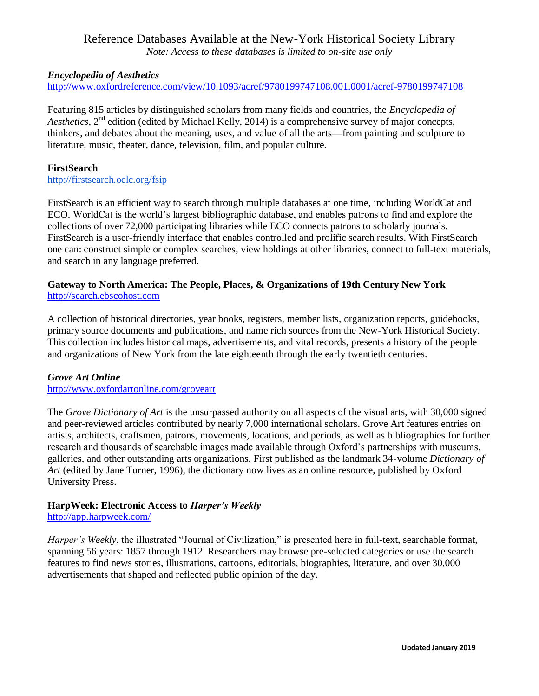# Reference Databases Available at the New-York Historical Society Library

*Note: Access to these databases is limited to on-site use only* 

## *Encyclopedia of Aesthetics*

<http://www.oxfordreference.com/view/10.1093/acref/9780199747108.001.0001/acref-9780199747108>

Featuring 815 articles by distinguished scholars from many fields and countries, the *Encyclopedia of Aesthetics*, 2<sup>nd</sup> edition (edited by Michael Kelly, 2014) is a comprehensive survey of major concepts, thinkers, and debates about the meaning, uses, and value of all the arts—from painting and sculpture to literature, music, theater, dance, television, film, and popular culture.

#### **FirstSearch**

<http://firstsearch.oclc.org/fsip>

FirstSearch is an efficient way to search through multiple databases at one time, including WorldCat and ECO. WorldCat is the world's largest bibliographic database, and enables patrons to find and explore the collections of over 72,000 participating libraries while ECO connects patrons to scholarly journals. FirstSearch is a user-friendly interface that enables controlled and prolific search results. With FirstSearch one can: construct simple or complex searches, view holdings at other libraries, connect to full-text materials, and search in any language preferred.

#### **Gateway to North America: The People, Places, & Organizations of 19th Century New York**  [http://search.ebscohost.com](http://search.ebscohost.com/)

A collection of historical directories, year books, registers, member lists, organization reports, guidebooks, primary source documents and publications, and name rich sources from the New-York Historical Society. This collection includes historical maps, advertisements, and vital records, presents a history of the people and organizations of New York from the late eighteenth through the early twentieth centuries.

#### *Grove Art Online*

<http://www.oxfordartonline.com/groveart>

The *Grove Dictionary of Art* is the unsurpassed authority on all aspects of the visual arts, with 30,000 signed and peer-reviewed articles contributed by nearly 7,000 international scholars. Grove Art features entries on artists, architects, craftsmen, patrons, movements, locations, and periods, as well as bibliographies for further research and thousands of searchable images made available through Oxford's partnerships with museums, galleries, and other outstanding arts organizations. First published as the landmark 34-volume *Dictionary of Art* (edited by Jane Turner, 1996), the dictionary now lives as an online resource, published by Oxford University Press.

## **HarpWeek: Electronic Access to** *Harper's Weekly*

#### <http://app.harpweek.com/>

*Harper's Weekly*, the illustrated "Journal of Civilization," is presented here in full-text, searchable format, spanning 56 years: 1857 through 1912. Researchers may browse pre-selected categories or use the search features to find news stories, illustrations, cartoons, editorials, biographies, literature, and over 30,000 advertisements that shaped and reflected public opinion of the day.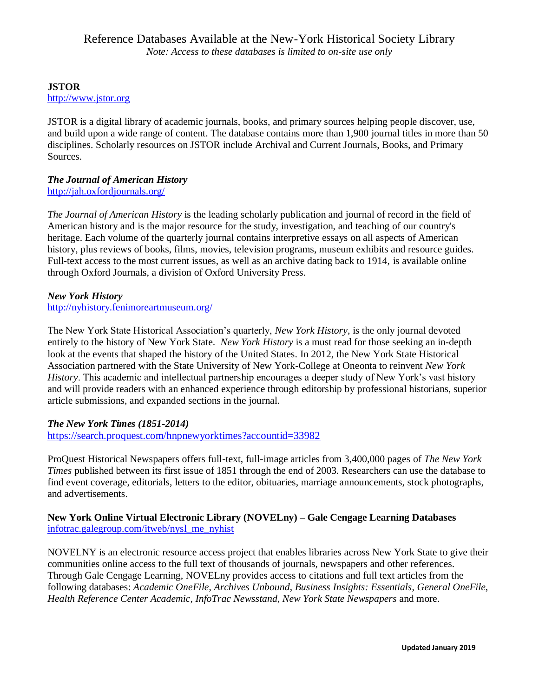#### **JSTOR** [http://www.jstor.org](http://www.jstor.org/)

JSTOR is a digital library of academic journals, books, and primary sources helping people discover, use, and build upon a wide range of content. The database contains more than 1,900 journal titles in more than 50 disciplines. Scholarly resources on JSTOR include Archival and Current Journals, Books, and Primary Sources.

## *The Journal of American History*

<http://jah.oxfordjournals.org/>

*The Journal of American History* is the leading scholarly publication and journal of record in the field of American history and is the major resource for the study, investigation, and teaching of our country's heritage. Each volume of the quarterly journal contains interpretive essays on all aspects of American history, plus reviews of books, films, movies, television programs, museum exhibits and resource guides. Full-text access to the most current issues, as well as an archive dating back to 1914, is available online through Oxford Journals, a division of Oxford University Press.

## *New York History*

<http://nyhistory.fenimoreartmuseum.org/>

The New York State Historical Association's quarterly, *New York History*, is the only journal devoted entirely to the history of New York State. *New York History* is a must read for those seeking an in-depth look at the events that shaped the history of the United States. In 2012, the New York State Historical Association partnered with the State University of New York-College at Oneonta to reinvent *New York History*. This academic and intellectual partnership encourages a deeper study of New York's vast history and will provide readers with an enhanced experience through editorship by professional historians, superior article submissions, and expanded sections in the journal.

## *The New York Times (1851-2014)*

<https://search.proquest.com/hnpnewyorktimes?accountid=33982>

ProQuest Historical Newspapers offers full-text, full-image articles from 3,400,000 pages of *The New York Times* published between its first issue of 1851 through the end of 2003. Researchers can use the database to find event coverage, editorials, letters to the editor, obituaries, marriage announcements, stock photographs, and advertisements.

## **New York Online Virtual Electronic Library (NOVELny) – Gale Cengage Learning Databases** [infotrac.galegroup.com/itweb/nysl\\_me\\_nyhist](http://infotrac.galegroup.com/itweb/nysl_me_nyhist)

NOVELNY is an electronic resource access project that enables libraries across New York State to give their communities online access to the full text of thousands of journals, newspapers and other references. Through Gale Cengage Learning, NOVELny provides access to citations and full text articles from the following databases: *Academic OneFile*, *Archives Unbound*, *Business Insights: Essentials*, *General OneFile*, *Health Reference Center Academic*, *InfoTrac Newsstand*, *New York State Newspapers* and more.